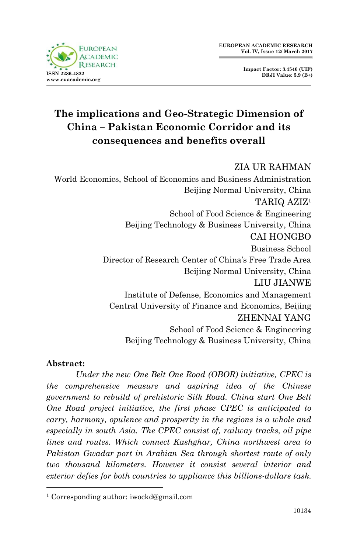

**Impact Factor: 3.4546 (UIF) DRJI Value: 5.9 (B+)**

# **The implications and Geo**‐**Strategic Dimension of China – Pakistan Economic Corridor and its consequences and benefits overall**

ZIA UR RAHMAN World Economics, School of Economics and Business Administration Beijing Normal University, China TARIQ AZIZ<sup>1</sup> School of Food Science & Engineering Beijing Technology & Business University, China CAI HONGBO Business School Director of Research Center of China"s Free Trade Area Beijing Normal University, China LIU JIANWE Institute of Defense, Economics and Management Central University of Finance and Economics, Beijing ZHENNAI YANG School of Food Science & Engineering Beijing Technology & Business University, China

### **Abstract:**

1

*Under the new One Belt One Road (OBOR) initiative, CPEC is the comprehensive measure and aspiring idea of the Chinese government to rebuild of prehistoric Silk Road. China start One Belt One Road project initiative, the first phase CPEC is anticipated to carry, harmony, opulence and prosperity in the regions is a whole and especially in south Asia. The CPEC consist of, railway tracks, oil pipe lines and routes. Which connect Kashghar, China northwest area to Pakistan Gwadar port in Arabian Sea through shortest route of only two thousand kilometers. However it consist several interior and exterior defies for both countries to appliance this billions-dollars task.*

<sup>1</sup> Corresponding author: iwockd@gmail.com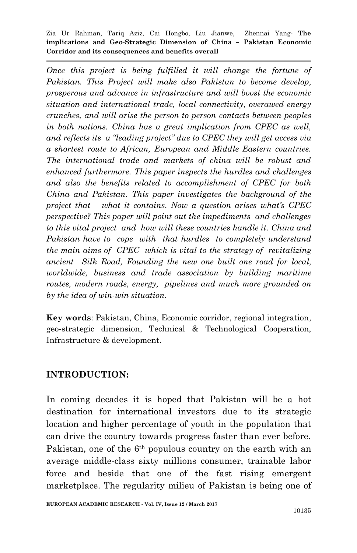*Once this project is being fulfilled it will change the fortune of Pakistan. This Project will make also Pakistan to become develop, prosperous and advance in infrastructure and will boost the economic situation and international trade, local connectivity, overawed energy crunches, and will arise the person to person contacts between peoples in both nations. China has a great implication from CPEC as well, and reflects its a "leading project" due to CPEC they will get access via a shortest route to African, European and Middle Eastern countries. The international trade and markets of china will be robust and enhanced furthermore. This paper inspects the hurdles and challenges and also the benefits related to accomplishment of CPEC for both China and Pakistan. This paper investigates the background of the project that what it contains. Now a question arises what's CPEC perspective? This paper will point out the impediments and challenges to this vital project and how will these countries handle it. China and Pakistan have to cope with that hurdles to completely understand the main aims of CPEC which is vital to the strategy of revitalizing ancient Silk Road, Founding the new one built one road for local, worldwide, business and trade association by building maritime routes, modern roads, energy, pipelines and much more grounded on by the idea of win-win situation.* 

**Key words**: Pakistan, China, Economic corridor, regional integration, geo-strategic dimension, Technical & Technological Cooperation, Infrastructure & development.

### **INTRODUCTION:**

In coming decades it is hoped that Pakistan will be a hot destination for international investors due to its strategic location and higher percentage of youth in the population that can drive the country towards progress faster than ever before. Pakistan, one of the 6<sup>th</sup> populous country on the earth with an average middle-class sixty millions consumer, trainable labor force and beside that one of the fast rising emergent marketplace. The regularity milieu of Pakistan is being one of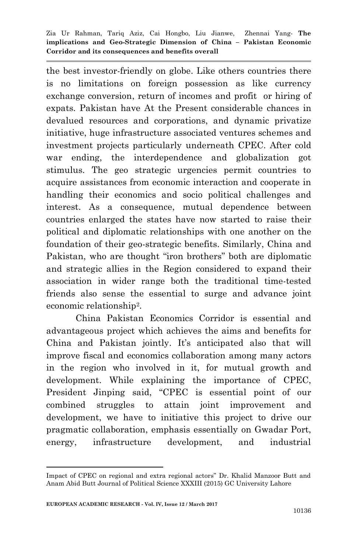the best investor-friendly on globe. Like others countries there is no limitations on foreign possession as like currency exchange conversion, return of incomes and profit or hiring of expats. Pakistan have At the Present considerable chances in devalued resources and corporations, and dynamic privatize initiative, huge infrastructure associated ventures schemes and investment projects particularly underneath CPEC. After cold war ending, the interdependence and globalization got stimulus. The geo strategic urgencies permit countries to acquire assistances from economic interaction and cooperate in handling their economics and socio political challenges and interest. As a consequence, mutual dependence between countries enlarged the states have now started to raise their political and diplomatic relationships with one another on the foundation of their geo-strategic benefits. Similarly, China and Pakistan, who are thought "iron brothers" both are diplomatic and strategic allies in the Region considered to expand their association in wider range both the traditional time-tested friends also sense the essential to surge and advance joint economic relationship<sup>2</sup> .

China Pakistan Economics Corridor is essential and advantageous project which achieves the aims and benefits for China and Pakistan jointly. It's anticipated also that will improve fiscal and economics collaboration among many actors in the region who involved in it, for mutual growth and development. While explaining the importance of CPEC, President Jinping said, "CPEC is essential point of our combined struggles to attain joint improvement and development, we have to initiative this project to drive our pragmatic collaboration, emphasis essentially on Gwadar Port, energy, infrastructure development, and industrial

Impact of CPEC on regional and extra regional actors" Dr. Khalid Manzoor Butt and Anam Abid Butt Journal of Political Science XXXIII (2015) GC University Lahore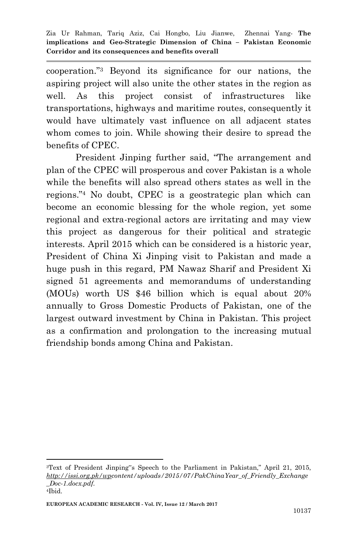cooperation."<sup>3</sup> Beyond its significance for our nations, the aspiring project will also unite the other states in the region as well. As this project consist of infrastructures like transportations, highways and maritime routes, consequently it would have ultimately vast influence on all adjacent states whom comes to join. While showing their desire to spread the benefits of CPEC.

President Jinping further said, "The arrangement and plan of the CPEC will prosperous and cover Pakistan is a whole while the benefits will also spread others states as well in the regions."<sup>4</sup> No doubt, CPEC is a geostrategic plan which can become an economic blessing for the whole region, yet some regional and extra-regional actors are irritating and may view this project as dangerous for their political and strategic interests. April 2015 which can be considered is a historic year, President of China Xi Jinping visit to Pakistan and made a huge push in this regard, PM Nawaz Sharif and President Xi signed 51 agreements and memorandums of understanding (MOUs) worth US \$46 billion which is equal about 20% annually to Gross Domestic Products of Pakistan, one of the largest outward investment by China in Pakistan. This project as a confirmation and prolongation to the increasing mutual friendship bonds among China and Pakistan.

<sup>3</sup>Text of President Jinping"s Speech to the Parliament in Pakistan," April 21, 2015, *[http://issi.org.pk/wpc](http://issi.org.pk/wp)ontent/uploads/2015/07/PakChinaYear\_of\_Friendly\_Exchange \_Doc-1.docx.pdf.* 4Ibid.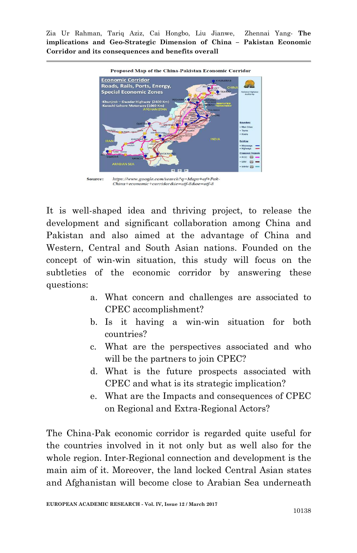

https://www.google.com/search?q=Maps+of+Pak-Source: China+economic+corridor&ie=utf-8&oe=utf-8

It is well-shaped idea and thriving project, to release the development and significant collaboration among China and Pakistan and also aimed at the advantage of China and Western, Central and South Asian nations. Founded on the concept of win-win situation, this study will focus on the subtleties of the economic corridor by answering these questions:

- a. What concern and challenges are associated to CPEC accomplishment?
- b. Is it having a win-win situation for both countries?
- c. What are the perspectives associated and who will be the partners to join CPEC?
- d. What is the future prospects associated with CPEC and what is its strategic implication?
- e. What are the Impacts and consequences of CPEC on Regional and Extra-Regional Actors?

The China-Pak economic corridor is regarded quite useful for the countries involved in it not only but as well also for the whole region. Inter-Regional connection and development is the main aim of it. Moreover, the land locked Central Asian states and Afghanistan will become close to Arabian Sea underneath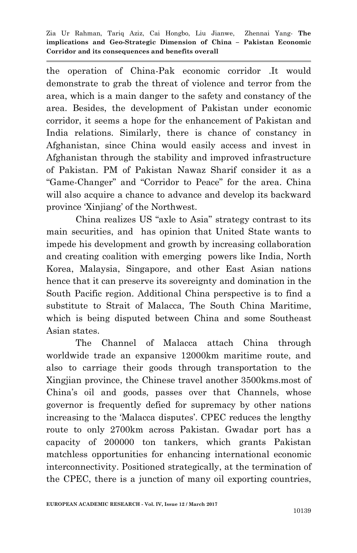the operation of China-Pak economic corridor .It would demonstrate to grab the threat of violence and terror from the area, which is a main danger to the safety and constancy of the area. Besides, the development of Pakistan under economic corridor, it seems a hope for the enhancement of Pakistan and India relations. Similarly, there is chance of constancy in Afghanistan, since China would easily access and invest in Afghanistan through the stability and improved infrastructure of Pakistan. PM of Pakistan Nawaz Sharif consider it as a "Game-Changer" and "Corridor to Peace" for the area. China will also acquire a chance to advance and develop its backward province "Xinjiang" of the Northwest.

China realizes US "axle to Asia" strategy contrast to its main securities, and has opinion that United State wants to impede his development and growth by increasing collaboration and creating coalition with emerging powers like India, North Korea, Malaysia, Singapore, and other East Asian nations hence that it can preserve its sovereignty and domination in the South Pacific region. Additional China perspective is to find a substitute to Strait of Malacca, The South China Maritime, which is being disputed between China and some Southeast Asian states.

The Channel of Malacca attach China through worldwide trade an expansive 12000km maritime route, and also to carriage their goods through transportation to the Xingjian province, the Chinese travel another 3500kms.most of China"s oil and goods, passes over that Channels, whose governor is frequently defied for supremacy by other nations increasing to the 'Malacca disputes'. CPEC reduces the lengthy route to only 2700km across Pakistan. Gwadar port has a capacity of 200000 ton tankers, which grants Pakistan matchless opportunities for enhancing international economic interconnectivity. Positioned strategically, at the termination of the CPEC, there is a junction of many oil exporting countries,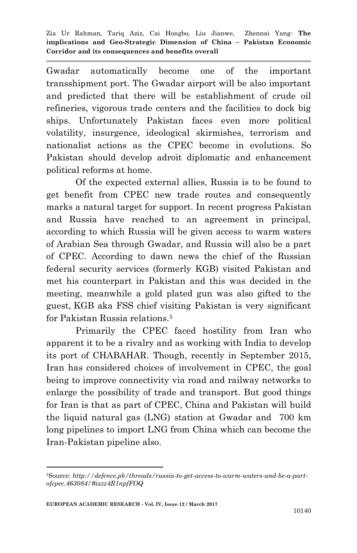Gwadar automatically become one of the important transshipment port. The Gwadar airport will be also important and predicted that there will be establishment of crude oil refineries, vigorous trade centers and the facilities to dock big ships. Unfortunately Pakistan faces even more political volatility, insurgence, ideological skirmishes, terrorism and nationalist actions as the CPEC become in evolutions. So Pakistan should develop adroit diplomatic and enhancement political reforms at home.

Of the expected external allies, Russia is to be found to get benefit from CPEC new trade routes and consequently marks a natural target for support. In recent progress Pakistan and Russia have reached to an agreement in principal, according to which Russia will be given access to warm waters of Arabian Sea through Gwadar, and Russia will also be a part of CPEC. According to dawn news the chief of the Russian federal security services (formerly KGB) visited Pakistan and met his counterpart in Pakistan and this was decided in the meeting, meanwhile a gold plated gun was also gifted to the guest, KGB aka FSS chief visiting Pakistan is very significant for Pakistan Russia relations. 5

Primarily the CPEC faced hostility from Iran who apparent it to be a rivalry and as working with India to develop its port of CHABAHAR. Though, recently in September 2015, Iran has considered choices of involvement in CPEC, the goal being to improve connectivity via road and railway networks to enlarge the possibility of trade and transport. But good things for Iran is that as part of CPEC, China and Pakistan will build the liquid natural gas (LNG) station at Gwadar and 700 km long pipelines to import LNG from China which can become the Iran-Pakistan pipeline also.

<sup>5</sup>Source: *http://defence.pk/threads/russia-to-get-access-to-warm-waters-and-be-a-partofcpec.463084/#ixzz4R1npfFOQ*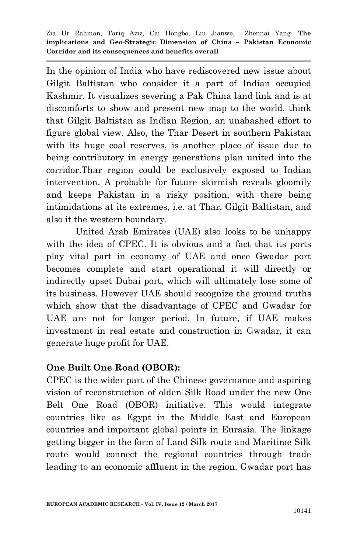In the opinion of India who have rediscovered new issue about Gilgit Baltistan who consider it a part of Indian occupied Kashmir. It visualizes severing a Pak China land link and is at discomforts to show and present new map to the world, think that Gilgit Baltistan as Indian Region, an unabashed effort to figure global view. Also, the Thar Desert in southern Pakistan with its huge coal reserves, is another place of issue due to being contributory in energy generations plan united into the corridor.Thar region could be exclusively exposed to Indian intervention. A probable for future skirmish reveals gloomily and keeps Pakistan in a risky position, with there being intimidations at its extremes, i.e. at Thar, Gilgit Baltistan, and also it the western boundary.

United Arab Emirates (UAE) also looks to be unhappy with the idea of CPEC. It is obvious and a fact that its ports play vital part in economy of UAE and once Gwadar port becomes complete and start operational it will directly or indirectly upset Dubai port, which will ultimately lose some of its business. However UAE should recognize the ground truths which show that the disadvantage of CPEC and Gwadar for UAE are not for longer period. In future, if UAE makes investment in real estate and construction in Gwadar, it can generate huge profit for UAE.

### **One Built One Road (OBOR):**

CPEC is the wider part of the Chinese governance and aspiring vision of reconstruction of olden Silk Road under the new One Belt One Road (OBOR) initiative. This would integrate countries like as Egypt in the Middle East and European countries and important global points in Eurasia. The linkage getting bigger in the form of Land Silk route and Maritime Silk route would connect the regional countries through trade leading to an economic affluent in the region. Gwadar port has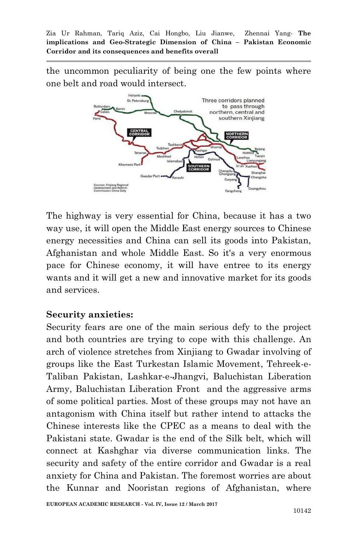the uncommon peculiarity of being one the few points where one belt and road would intersect.



The highway is very essential for China, because it has a two way use, it will open the Middle East energy sources to Chinese energy necessities and China can sell its goods into Pakistan, Afghanistan and whole Middle East. So it's a very enormous pace for Chinese economy, it will have entree to its energy wants and it will get a new and innovative market for its goods and services.

### **Security anxieties:**

Security fears are one of the main serious defy to the project and both countries are trying to cope with this challenge. An arch of violence stretches from Xinjiang to Gwadar involving of groups like the East Turkestan Islamic Movement, Tehreek-e-Taliban Pakistan, Lashkar-e-Jhangvi, Baluchistan Liberation Army, Baluchistan Liberation Front and the aggressive arms of some political parties. Most of these groups may not have an antagonism with China itself but rather intend to attacks the Chinese interests like the CPEC as a means to deal with the Pakistani state. Gwadar is the end of the Silk belt, which will connect at Kashghar via diverse communication links. The security and safety of the entire corridor and Gwadar is a real anxiety for China and Pakistan. The foremost worries are about the Kunnar and Nooristan regions of Afghanistan, where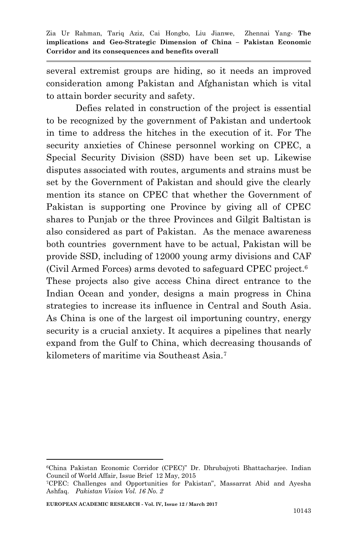several extremist groups are hiding, so it needs an improved consideration among Pakistan and Afghanistan which is vital to attain border security and safety.

Defies related in construction of the project is essential to be recognized by the government of Pakistan and undertook in time to address the hitches in the execution of it. For The security anxieties of Chinese personnel working on CPEC, a Special Security Division (SSD) have been set up. Likewise disputes associated with routes, arguments and strains must be set by the Government of Pakistan and should give the clearly mention its stance on CPEC that whether the Government of Pakistan is supporting one Province by giving all of CPEC shares to Punjab or the three Provinces and Gilgit Baltistan is also considered as part of Pakistan. As the menace awareness both countries government have to be actual, Pakistan will be provide SSD, including of 12000 young army divisions and CAF (Civil Armed Forces) arms devoted to safeguard CPEC project. 6 These projects also give access China direct entrance to the Indian Ocean and yonder, designs a main progress in China strategies to increase its influence in Central and South Asia. As China is one of the largest oil importuning country, energy security is a crucial anxiety. It acquires a pipelines that nearly expand from the Gulf to China, which decreasing thousands of kilometers of maritime via Southeast Asia.<sup>7</sup>

<sup>6</sup>China Pakistan Economic Corridor (CPEC)" Dr. Dhrubajyoti Bhattacharjee. Indian Council of World Affair, Issue Brief 12 May, 2015

<sup>7</sup>CPEC: Challenges and Opportunities for Pakistan", Massarrat Abid and Ayesha Ashfaq. *Pakistan Vision Vol. 16 No. 2*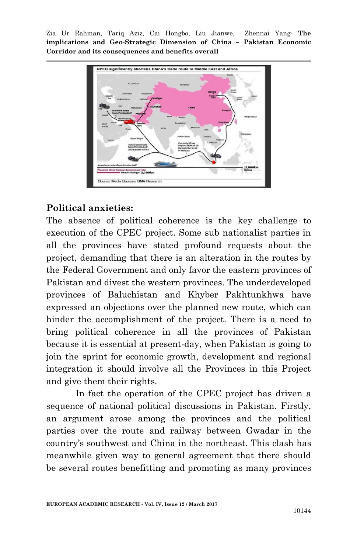

### **Political anxieties:**

The absence of political coherence is the key challenge to execution of the CPEC project. Some sub nationalist parties in all the provinces have stated profound requests about the project, demanding that there is an alteration in the routes by the Federal Government and only favor the eastern provinces of Pakistan and divest the western provinces. The underdeveloped provinces of Baluchistan and Khyber Pakhtunkhwa have expressed an objections over the planned new route, which can hinder the accomplishment of the project. There is a need to bring political coherence in all the provinces of Pakistan because it is essential at present-day, when Pakistan is going to join the sprint for economic growth, development and regional integration it should involve all the Provinces in this Project and give them their rights.

In fact the operation of the CPEC project has driven a sequence of national political discussions in Pakistan. Firstly, an argument arose among the provinces and the political parties over the route and railway between Gwadar in the country"s southwest and China in the northeast. This clash has meanwhile given way to general agreement that there should be several routes benefitting and promoting as many provinces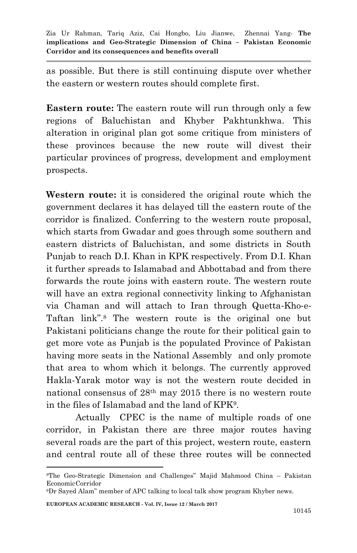as possible. But there is still continuing dispute over whether the eastern or western routes should complete first.

**Eastern route:** The eastern route will run through only a few regions of Baluchistan and Khyber Pakhtunkhwa. This alteration in original plan got some critique from ministers of these provinces because the new route will divest their particular provinces of progress, development and employment prospects.

**Western route:** it is considered the original route which the government declares it has delayed till the eastern route of the corridor is finalized. Conferring to the western route proposal, which starts from Gwadar and goes through some southern and eastern districts of Baluchistan, and some districts in South Punjab to reach D.I. Khan in KPK respectively. From D.I. Khan it further spreads to Islamabad and Abbottabad and from there forwards the route joins with eastern route. The western route will have an extra regional connectivity linking to Afghanistan via Chaman and will attach to Iran through Quetta‐Kho‐e‐ Taftan link".<sup>8</sup> The western route is the original one but Pakistani politicians change the route for their political gain to get more vote as Punjab is the populated Province of Pakistan having more seats in the National Assembly and only promote that area to whom which it belongs. The currently approved Hakla-Yarak motor way is not the western route decided in national consensus of 28th may 2015 there is no western route in the files of Islamabad and the land of KPK<sup>9</sup> .

Actually CPEC is the name of multiple roads of one corridor, in Pakistan there are three major routes having several roads are the part of this project, western route, eastern and central route all of these three routes will be connected

<sup>8</sup>The Geo‐Strategic Dimension and Challenges" Majid Mahmood China – Pakistan EconomicCorridor

<sup>9</sup>Dr Sayed Alam" member of APC talking to local talk show program Khyber news.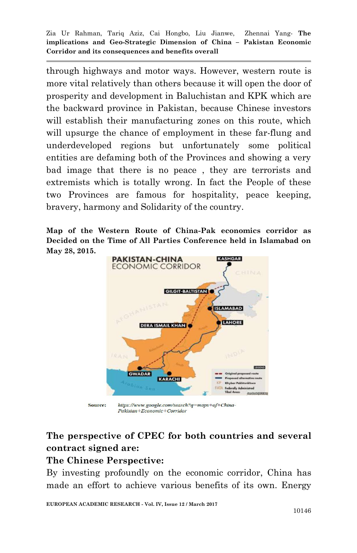through highways and motor ways. However, western route is more vital relatively than others because it will open the door of prosperity and development in Baluchistan and KPK which are the backward province in Pakistan, because Chinese investors will establish their manufacturing zones on this route, which will upsurge the chance of employment in these far-flung and underdeveloped regions but unfortunately some political entities are defaming both of the Provinces and showing a very bad image that there is no peace , they are terrorists and extremists which is totally wrong. In fact the People of these two Provinces are famous for hospitality, peace keeping, bravery, harmony and Solidarity of the country.

**Map of the Western Route of China-Pak economics corridor as Decided on the Time of All Parties Conference held in Islamabad on May 28, 2015.**



https://www.google.com/search?q=maps+of+China-**Source:** Pakistan+Economic+Corridor

## **The perspective of CPEC for both countries and several contract signed are:**

### **The Chinese Perspective:**

By investing profoundly on the economic corridor, China has made an effort to achieve various benefits of its own. Energy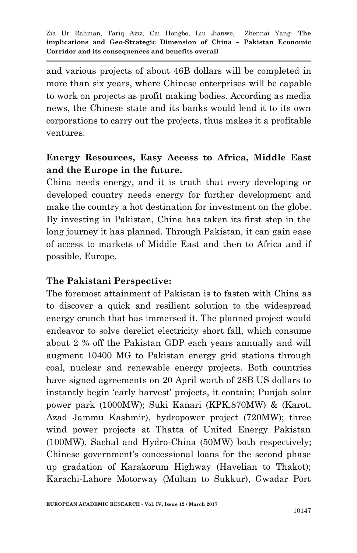and various projects of about 46B dollars will be completed in more than six years, where Chinese enterprises will be capable to work on projects as profit making bodies. According as media news, the Chinese state and its banks would lend it to its own corporations to carry out the projects, thus makes it a profitable ventures.

## **Energy Resources, Easy Access to Africa, Middle East and the Europe in the future.**

China needs energy, and it is truth that every developing or developed country needs energy for further development and make the country a hot destination for investment on the globe. By investing in Pakistan, China has taken its first step in the long journey it has planned. Through Pakistan, it can gain ease of access to markets of Middle East and then to Africa and if possible, Europe.

### **The Pakistani Perspective:**

The foremost attainment of Pakistan is to fasten with China as to discover a quick and resilient solution to the widespread energy crunch that has immersed it. The planned project would endeavor to solve derelict electricity short fall, which consume about 2 % off the Pakistan GDP each years annually and will augment 10400 MG to Pakistan energy grid stations through coal, nuclear and renewable energy projects. Both countries have signed agreements on 20 April worth of 28B US dollars to instantly begin "early harvest" projects, it contain; Punjab solar power park (1000MW); Suki Kanari (KPK,870MW) & (Karot, Azad Jammu Kashmir), hydropower project (720MW); three wind power projects at Thatta of United Energy Pakistan (100MW), Sachal and Hydro-China (50MW) both respectively; Chinese government's concessional loans for the second phase up gradation of Karakorum Highway (Havelian to Thakot); Karachi-Lahore Motorway (Multan to Sukkur), Gwadar Port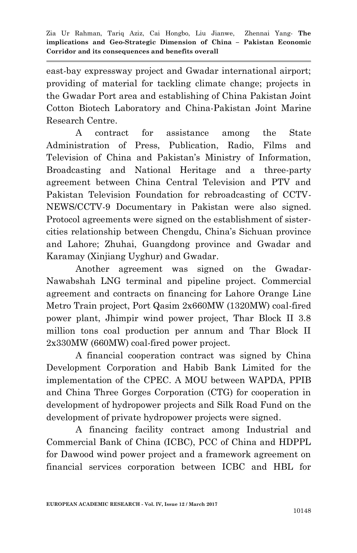east-bay expressway project and Gwadar international airport; providing of material for tackling climate change; projects in the Gwadar Port area and establishing of China Pakistan Joint Cotton Biotech Laboratory and China-Pakistan Joint Marine Research Centre.

A contract for assistance among the State Administration of Press, Publication, Radio, Films and Television of China and Pakistan"s Ministry of Information, Broadcasting and National Heritage and a three-party agreement between China Central Television and PTV and Pakistan Television Foundation for rebroadcasting of CCTV-NEWS/CCTV-9 Documentary in Pakistan were also signed. Protocol agreements were signed on the establishment of sistercities relationship between Chengdu, China"s Sichuan province and Lahore; Zhuhai, Guangdong province and Gwadar and Karamay (Xinjiang Uyghur) and Gwadar.

Another agreement was signed on the Gwadar-Nawabshah LNG terminal and pipeline project. Commercial agreement and contracts on financing for Lahore Orange Line Metro Train project, Port Qasim 2x660MW (1320MW) coal-fired power plant, Jhimpir wind power project, Thar Block II 3.8 million tons coal production per annum and Thar Block II 2x330MW (660MW) coal-fired power project.

A financial cooperation contract was signed by China Development Corporation and Habib Bank Limited for the implementation of the CPEC. A MOU between WAPDA, PPIB and China Three Gorges Corporation (CTG) for cooperation in development of hydropower projects and Silk Road Fund on the development of private hydropower projects were signed.

A financing facility contract among Industrial and Commercial Bank of China (ICBC), PCC of China and HDPPL for Dawood wind power project and a framework agreement on financial services corporation between ICBC and HBL for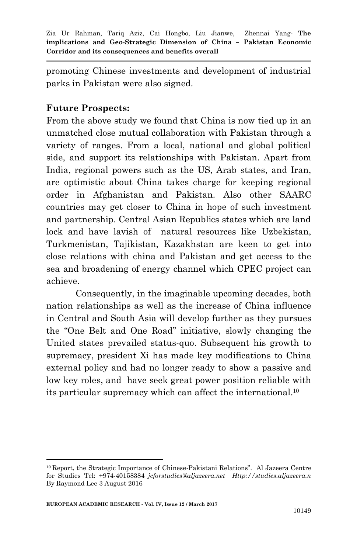promoting Chinese investments and development of industrial parks in Pakistan were also signed.

### **Future Prospects:**

From the above study we found that China is now tied up in an unmatched close mutual collaboration with Pakistan through a variety of ranges. From a local, national and global political side, and support its relationships with Pakistan. Apart from India, regional powers such as the US, Arab states, and Iran, are optimistic about China takes charge for keeping regional order in Afghanistan and Pakistan. Also other SAARC countries may get closer to China in hope of such investment and partnership. Central Asian Republics states which are land lock and have lavish of natural resources like Uzbekistan, Turkmenistan, Tajikistan, Kazakhstan are keen to get into close relations with china and Pakistan and get access to the sea and broadening of energy channel which CPEC project can achieve.

Consequently, in the imaginable upcoming decades, both nation relationships as well as the increase of China influence in Central and South Asia will develop further as they pursues the "One Belt and One Road" initiative, slowly changing the United states prevailed status-quo. Subsequent his growth to supremacy, president Xi has made key modifications to China external policy and had no longer ready to show a passive and low key roles, and have seek great power position reliable with its particular supremacy which can affect the international.<sup>10</sup>

<sup>10</sup> Report, the Strategic Importance of Chinese-Pakistani Relations". Al Jazeera Centre for Studies Tel: +974-40158384 *jcforstudies@aljazeera.net Http://studies.aljazeera.n*  By Raymond Lee 3 August 2016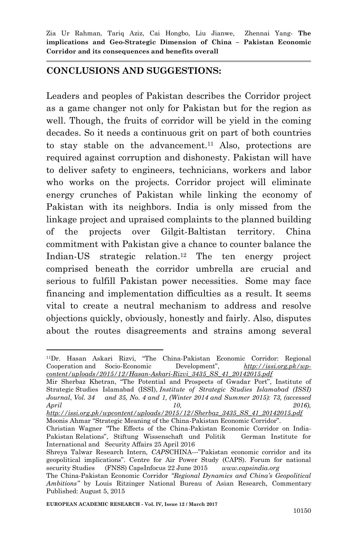### **CONCLUSIONS AND SUGGESTIONS:**

Leaders and peoples of Pakistan describes the Corridor project as a game changer not only for Pakistan but for the region as well. Though, the fruits of corridor will be yield in the coming decades. So it needs a continuous grit on part of both countries to stay stable on the advancement. <sup>11</sup> Also, protections are required against corruption and dishonesty. Pakistan will have to deliver safety to engineers, technicians, workers and labor who works on the projects. Corridor project will eliminate energy crunches of Pakistan while linking the economy of Pakistan with its neighbors. India is only missed from the linkage project and upraised complaints to the planned building of the projects over Gilgit-Baltistan territory. China commitment with Pakistan give a chance to counter balance the Indian-US strategic relation. <sup>12</sup> The ten energy project comprised beneath the corridor umbrella are crucial and serious to fulfill Pakistan power necessities. Some may face financing and implementation difficulties as a result. It seems vital to create a neutral mechanism to address and resolve objections quickly, obviously, honestly and fairly. Also, disputes about the routes disagreements and strains among several

*[http://issi.org.pk/wpcontent/uploads/2015/12/Sherbaz\\_3435\\_SS\\_41\\_20142015.pdf](http://issi.org.pk/wpcontent/uploads/2015/12/Sherbaz_3435_SS_41_20142015.pdf)* Moonis Ahmar "Strategic Meaning of the China-Pakistan Economic Corridor".

<sup>1</sup> <sup>11</sup>Dr. Hasan Askari Rizvi, "The China-Pakistan Economic Corridor: Regional Cooperation and Socio-Economic Development", *[http://issi.org.pk/wp](http://issi.org.pk/wp-content/uploads/2015/12/Hasan-Askari-Rizvi_3435_SS_41_20142015.pdf)[content/uploads/2015/12/Hasan-Askari-Rizvi\\_3435\\_SS\\_41\\_20142015.pdf](http://issi.org.pk/wp-content/uploads/2015/12/Hasan-Askari-Rizvi_3435_SS_41_20142015.pdf)*

Mir Sherbaz Khetran, "The Potential and Prospects of Gwadar Port", Institute of Strategic Studies Islamabad (ISSI), *Institute of Strategic Studies Islamabad (ISSI) Journal*, *Vol. 34 and 35, No. 4 and 1, (Winter 2014 and Summer 2015): 73, (accessed April 10, 2016),*

Christian Wagner *"*The Effects of the China-Pakistan Economic Corridor on India-Pakistan Relations", Stiftung Wissenschaft und Politik German Institute for International and Security Affairs 25 April 2016

Shreya Talwar Research Intern, *CAPS*CHINA--‐"Pakistan economic corridor and its geopolitical implications". Centre for Air Power Study (CAPS). Forum for national security Studies (FNSS) CapsInfocus 22 June 2015 *www.capsindia.org*

The China-Pakistan Economic Corridor *"Regional Dynamics and China's Geopolitical Ambitions"* by Louis Ritzinger National Bureau of Asian Research, Commentary Published: August 5, 2015